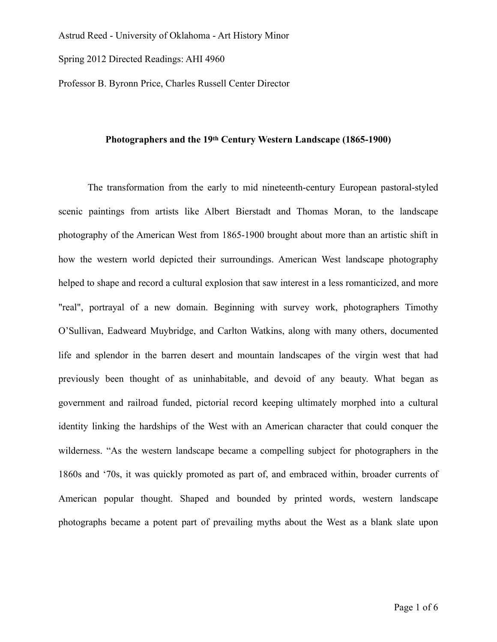Spring 2012 Directed Readings: AHI 4960

Professor B. Byronn Price, Charles Russell Center Director

## **Photographers and the 19th Century Western Landscape (1865-1900)**

The transformation from the early to mid nineteenth-century European pastoral-styled scenic paintings from artists like Albert Bierstadt and Thomas Moran, to the landscape photography of the American West from 1865-1900 brought about more than an artistic shift in how the western world depicted their surroundings. American West landscape photography helped to shape and record a cultural explosion that saw interest in a less romanticized, and more "real", portrayal of a new domain. Beginning with survey work, photographers Timothy O'Sullivan, Eadweard Muybridge, and Carlton Watkins, along with many others, documented life and splendor in the barren desert and mountain landscapes of the virgin west that had previously been thought of as uninhabitable, and devoid of any beauty. What began as government and railroad funded, pictorial record keeping ultimately morphed into a cultural identity linking the hardships of the West with an American character that could conquer the wilderness. "As the western landscape became a compelling subject for photographers in the 1860s and '70s, it was quickly promoted as part of, and embraced within, broader currents of American popular thought. Shaped and bounded by printed words, western landscape photographs became a potent part of prevailing myths about the West as a blank slate upon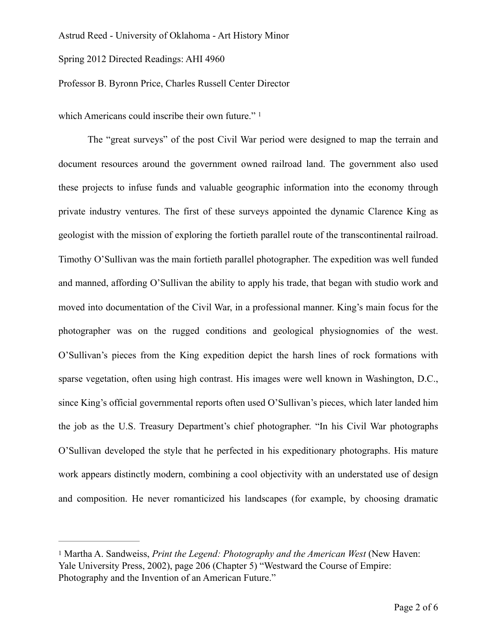Spring 2012 Directed Readings: AHI 4960

Professor B. Byronn Price, Charles Russell Center Director

<span id="page-1-1"></span>which Americans could inscribe their own future."<sup>[1](#page-1-0)</sup>

The "great surveys" of the post Civil War period were designed to map the terrain and document resources around the government owned railroad land. The government also used these projects to infuse funds and valuable geographic information into the economy through private industry ventures. The first of these surveys appointed the dynamic Clarence King as geologist with the mission of exploring the fortieth parallel route of the transcontinental railroad. Timothy O'Sullivan was the main fortieth parallel photographer. The expedition was well funded and manned, affording O'Sullivan the ability to apply his trade, that began with studio work and moved into documentation of the Civil War, in a professional manner. King's main focus for the photographer was on the rugged conditions and geological physiognomies of the west. O'Sullivan's pieces from the King expedition depict the harsh lines of rock formations with sparse vegetation, often using high contrast. His images were well known in Washington, D.C., since King's official governmental reports often used O'Sullivan's pieces, which later landed him the job as the U.S. Treasury Department's chief photographer. "In his Civil War photographs O'Sullivan developed the style that he perfected in his expeditionary photographs. His mature work appears distinctly modern, combining a cool objectivity with an understated use of design and composition. He never romanticized his landscapes (for example, by choosing dramatic

<span id="page-1-0"></span>[<sup>1</sup>](#page-1-1) Martha A. Sandweiss, *Print the Legend: Photography and the American West* (New Haven: Yale University Press, 2002), page 206 (Chapter 5) "Westward the Course of Empire: Photography and the Invention of an American Future."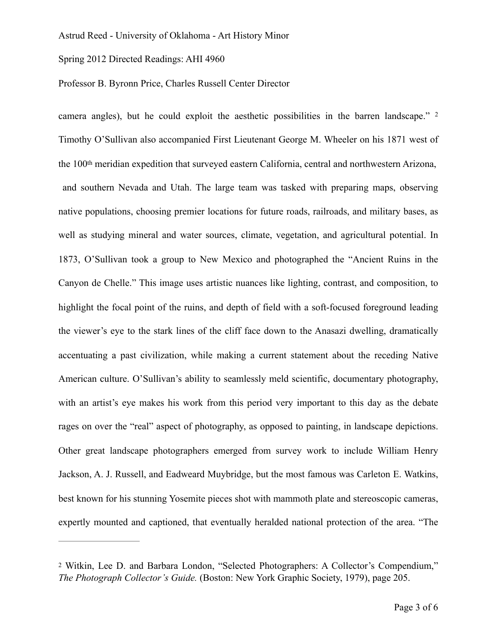Spring 2012 Directed Readings: AHI 4960

# Professor B. Byronn Price, Charles Russell Center Director

<span id="page-2-1"></span>camera angles), but he could exploit the aesthetic possibilities in the barren landscape." [2](#page-2-0) Timothy O'Sullivan also accompanied First Lieutenant George M. Wheeler on his 1871 west of the 100th meridian expedition that surveyed eastern California, central and northwestern Arizona, and southern Nevada and Utah. The large team was tasked with preparing maps, observing native populations, choosing premier locations for future roads, railroads, and military bases, as well as studying mineral and water sources, climate, vegetation, and agricultural potential. In 1873, O'Sullivan took a group to New Mexico and photographed the "Ancient Ruins in the Canyon de Chelle." This image uses artistic nuances like lighting, contrast, and composition, to highlight the focal point of the ruins, and depth of field with a soft-focused foreground leading the viewer's eye to the stark lines of the cliff face down to the Anasazi dwelling, dramatically accentuating a past civilization, while making a current statement about the receding Native American culture. O'Sullivan's ability to seamlessly meld scientific, documentary photography, with an artist's eye makes his work from this period very important to this day as the debate rages on over the "real" aspect of photography, as opposed to painting, in landscape depictions. Other great landscape photographers emerged from survey work to include William Henry Jackson, A. J. Russell, and Eadweard Muybridge, but the most famous was Carleton E. Watkins, best known for his stunning Yosemite pieces shot with mammoth plate and stereoscopic cameras, expertly mounted and captioned, that eventually heralded national protection of the area. "The

<span id="page-2-0"></span>[<sup>2</sup>](#page-2-1) Witkin, Lee D. and Barbara London, "Selected Photographers: A Collector's Compendium," *The Photograph Collector's Guide.* (Boston: New York Graphic Society, 1979), page 205.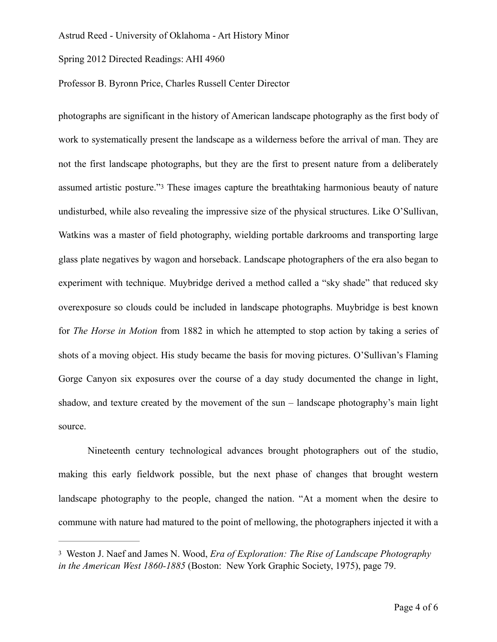Spring 2012 Directed Readings: AHI 4960

Professor B. Byronn Price, Charles Russell Center Director

<span id="page-3-1"></span>photographs are significant in the history of American landscape photography as the first body of work to systematically present the landscape as a wilderness before the arrival of man. They are not the first landscape photographs, but they are the first to present nature from a deliberately assumed artistic posture."[3](#page-3-0) These images capture the breathtaking harmonious beauty of nature undisturbed, while also revealing the impressive size of the physical structures. Like O'Sullivan, Watkins was a master of field photography, wielding portable darkrooms and transporting large glass plate negatives by wagon and horseback. Landscape photographers of the era also began to experiment with technique. Muybridge derived a method called a "sky shade" that reduced sky overexposure so clouds could be included in landscape photographs. Muybridge is best known for *The Horse in Motion* from 1882 in which he attempted to stop action by taking a series of shots of a moving object. His study became the basis for moving pictures. O'Sullivan's Flaming Gorge Canyon six exposures over the course of a day study documented the change in light, shadow, and texture created by the movement of the sun – landscape photography's main light source.

Nineteenth century technological advances brought photographers out of the studio, making this early fieldwork possible, but the next phase of changes that brought western landscape photography to the people, changed the nation. "At a moment when the desire to commune with nature had matured to the point of mellowing, the photographers injected it with a

<span id="page-3-0"></span>[<sup>3</sup>](#page-3-1) Weston J. Naef and James N. Wood, *Era of Exploration: The Rise of Landscape Photography in the American West 1860-1885* (Boston: New York Graphic Society, 1975), page 79.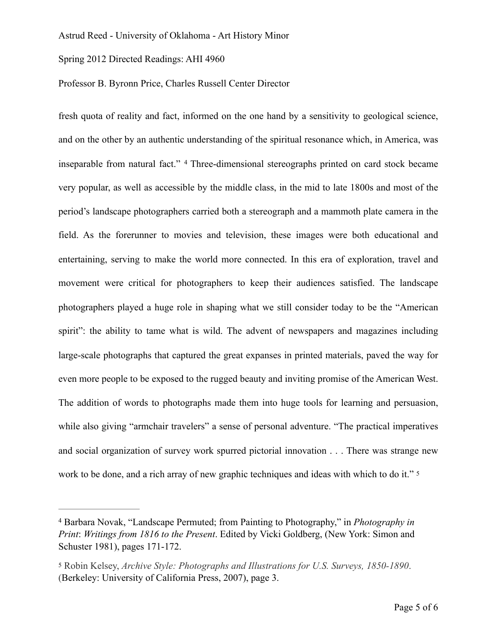Spring 2012 Directed Readings: AHI 4960

### Professor B. Byronn Price, Charles Russell Center Director

<span id="page-4-2"></span>fresh quota of reality and fact, informed on the one hand by a sensitivity to geological science, and on the other by an authentic understanding of the spiritual resonance which, in America, was inseparable from natural fact." [4](#page-4-0) Three-dimensional stereographs printed on card stock became very popular, as well as accessible by the middle class, in the mid to late 1800s and most of the period's landscape photographers carried both a stereograph and a mammoth plate camera in the field. As the forerunner to movies and television, these images were both educational and entertaining, serving to make the world more connected. In this era of exploration, travel and movement were critical for photographers to keep their audiences satisfied. The landscape photographers played a huge role in shaping what we still consider today to be the "American spirit": the ability to tame what is wild. The advent of newspapers and magazines including large-scale photographs that captured the great expanses in printed materials, paved the way for even more people to be exposed to the rugged beauty and inviting promise of the American West. The addition of words to photographs made them into huge tools for learning and persuasion, while also giving "armchair travelers" a sense of personal adventure. "The practical imperatives and social organization of survey work spurred pictorial innovation . . . There was strange new work to be done, and a rich array of new graphic techniques and ideas with which to do it." <sup>[5](#page-4-1)</sup>

<span id="page-4-3"></span><span id="page-4-0"></span>Barbara Novak, "Landscape Permuted; from Painting to Photography," in *Photography in* [4](#page-4-2) *Print*: *Writings from 1816 to the Present*. Edited by Vicki Goldberg, (New York: Simon and Schuster 1981), pages 171-172.

<span id="page-4-1"></span>[<sup>5</sup>](#page-4-3) Robin Kelsey, *Archive Style: Photographs and Illustrations for U.S. Surveys, 1850-1890*. (Berkeley: University of California Press, 2007), page 3.